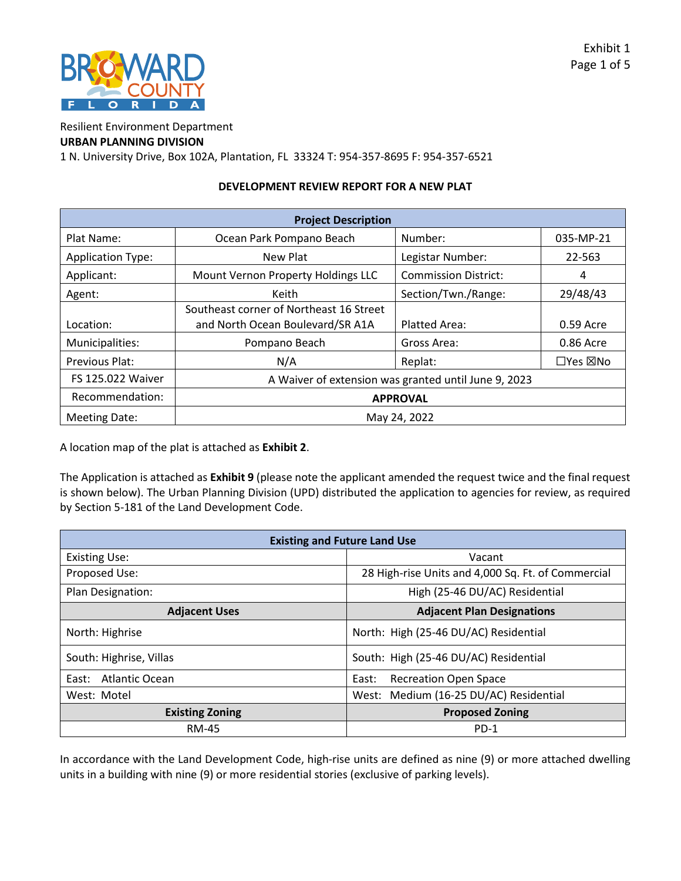

Resilient Environment Department

# **URBAN PLANNING DIVISION**

1 N. University Drive, Box 102A, Plantation, FL 33324 T: 954-357-8695 F: 954-357-6521

#### **DEVELOPMENT REVIEW REPORT FOR A NEW PLAT**

| <b>Project Description</b> |                                                      |                             |           |
|----------------------------|------------------------------------------------------|-----------------------------|-----------|
| Plat Name:                 | Ocean Park Pompano Beach                             | Number:                     | 035-MP-21 |
| <b>Application Type:</b>   | New Plat                                             | Legistar Number:            | 22-563    |
| Applicant:                 | Mount Vernon Property Holdings LLC                   | <b>Commission District:</b> | 4         |
| Agent:                     | Section/Twn./Range:<br>Keith                         |                             | 29/48/43  |
|                            | Southeast corner of Northeast 16 Street              |                             |           |
| Location:                  | and North Ocean Boulevard/SR A1A                     | <b>Platted Area:</b>        | 0.59 Acre |
| Municipalities:            | Pompano Beach                                        | Gross Area:                 | 0.86 Acre |
| Previous Plat:             | N/A                                                  | Replat:                     | □Yes ⊠No  |
| <b>FS 125.022 Waiver</b>   | A Waiver of extension was granted until June 9, 2023 |                             |           |
| Recommendation:            | <b>APPROVAL</b>                                      |                             |           |
| <b>Meeting Date:</b>       | May 24, 2022                                         |                             |           |

A location map of the plat is attached as **Exhibit 2**.

The Application is attached as **Exhibit 9** (please note the applicant amended the request twice and the final request is shown below). The Urban Planning Division (UPD) distributed the application to agencies for review, as required by Section 5-181 of the Land Development Code.

| <b>Existing and Future Land Use</b> |                                                    |  |  |
|-------------------------------------|----------------------------------------------------|--|--|
| <b>Existing Use:</b>                | Vacant                                             |  |  |
| Proposed Use:                       | 28 High-rise Units and 4,000 Sq. Ft. of Commercial |  |  |
| Plan Designation:                   | High (25-46 DU/AC) Residential                     |  |  |
| <b>Adjacent Uses</b>                | <b>Adjacent Plan Designations</b>                  |  |  |
| North: Highrise                     | North: High (25-46 DU/AC) Residential              |  |  |
| South: Highrise, Villas             | South: High (25-46 DU/AC) Residential              |  |  |
| Atlantic Ocean<br>East:             | <b>Recreation Open Space</b><br>East:              |  |  |
| West: Motel                         | West: Medium (16-25 DU/AC) Residential             |  |  |
| <b>Existing Zoning</b>              | <b>Proposed Zoning</b>                             |  |  |
| <b>RM-45</b>                        | $PD-1$                                             |  |  |

In accordance with the Land Development Code, high-rise units are defined as nine (9) or more attached dwelling units in a building with nine (9) or more residential stories (exclusive of parking levels).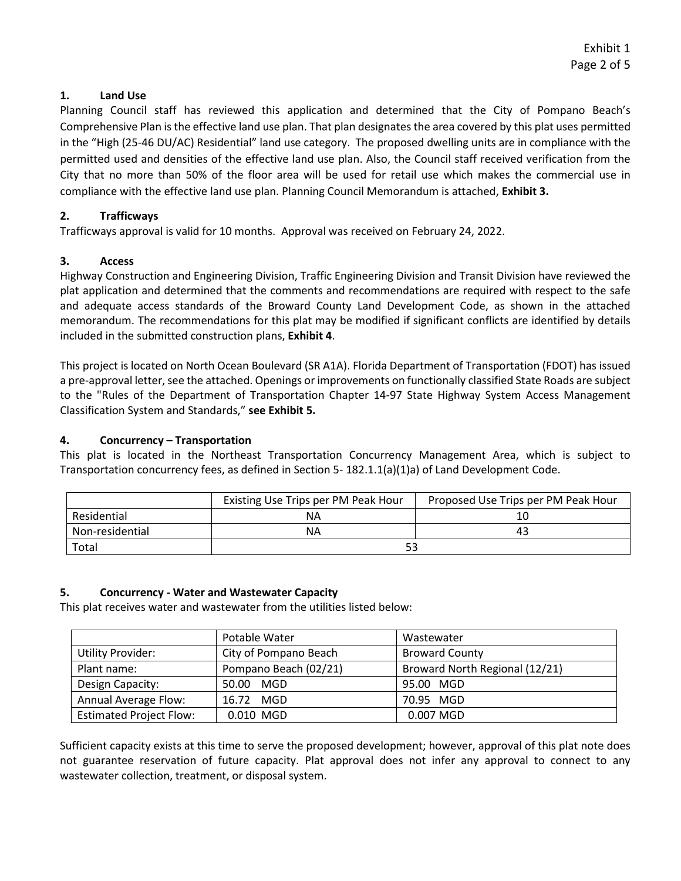# **1. Land Use**

Planning Council staff has reviewed this application and determined that the City of Pompano Beach's Comprehensive Plan is the effective land use plan. That plan designates the area covered by this plat uses permitted in the "High (25-46 DU/AC) Residential" land use category. The proposed dwelling units are in compliance with the permitted used and densities of the effective land use plan. Also, the Council staff received verification from the City that no more than 50% of the floor area will be used for retail use which makes the commercial use in compliance with the effective land use plan. Planning Council Memorandum is attached, **Exhibit 3.** 

# **2. Trafficways**

Trafficways approval is valid for 10 months. Approval was received on February 24, 2022.

### **3. Access**

Highway Construction and Engineering Division, Traffic Engineering Division and Transit Division have reviewed the plat application and determined that the comments and recommendations are required with respect to the safe and adequate access standards of the Broward County Land Development Code, as shown in the attached memorandum. The recommendations for this plat may be modified if significant conflicts are identified by details included in the submitted construction plans, **Exhibit 4**.

This project is located on North Ocean Boulevard (SR A1A). Florida Department of Transportation (FDOT) has issued a pre-approval letter, see the attached. Openings or improvements on functionally classified State Roads are subject to the "Rules of the Department of Transportation Chapter 14-97 State Highway System Access Management Classification System and Standards," **see Exhibit 5.** 

### **4. Concurrency – Transportation**

This plat is located in the Northeast Transportation Concurrency Management Area, which is subject to Transportation concurrency fees, as defined in Section 5- 182.1.1(a)(1)a) of Land Development Code.

|                 | Existing Use Trips per PM Peak Hour | Proposed Use Trips per PM Peak Hour |
|-----------------|-------------------------------------|-------------------------------------|
| Residential     | ΝA                                  |                                     |
| Non-residential | ΝA                                  | 43                                  |
| Total           |                                     |                                     |

### **5. Concurrency - Water and Wastewater Capacity**

This plat receives water and wastewater from the utilities listed below:

|                                | Potable Water         | Wastewater                     |
|--------------------------------|-----------------------|--------------------------------|
| <b>Utility Provider:</b>       | City of Pompano Beach | <b>Broward County</b>          |
| Plant name:                    | Pompano Beach (02/21) | Broward North Regional (12/21) |
| Design Capacity:               | 50.00 MGD             | 95.00 MGD                      |
| Annual Average Flow:           | 16.72 MGD             | 70.95 MGD                      |
| <b>Estimated Project Flow:</b> | 0.010 MGD             | 0.007 MGD                      |

Sufficient capacity exists at this time to serve the proposed development; however, approval of this plat note does not guarantee reservation of future capacity. Plat approval does not infer any approval to connect to any wastewater collection, treatment, or disposal system.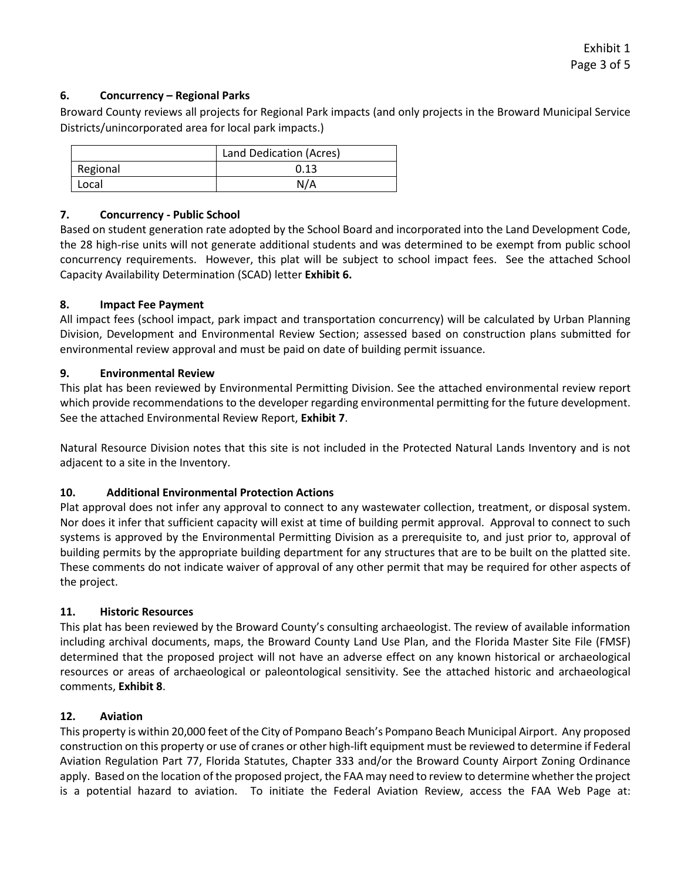# **6. Concurrency – Regional Parks**

Broward County reviews all projects for Regional Park impacts (and only projects in the Broward Municipal Service Districts/unincorporated area for local park impacts.)

|          | Land Dedication (Acres) |
|----------|-------------------------|
| Regional | 0.13                    |
| Local    | N/A                     |

# **7. Concurrency - Public School**

Based on student generation rate adopted by the School Board and incorporated into the Land Development Code, the 28 high-rise units will not generate additional students and was determined to be exempt from public school concurrency requirements. However, this plat will be subject to school impact fees. See the attached School Capacity Availability Determination (SCAD) letter **Exhibit 6.** 

### **8. Impact Fee Payment**

All impact fees (school impact, park impact and transportation concurrency) will be calculated by Urban Planning Division, Development and Environmental Review Section; assessed based on construction plans submitted for environmental review approval and must be paid on date of building permit issuance.

# **9. Environmental Review**

This plat has been reviewed by Environmental Permitting Division. See the attached environmental review report which provide recommendations to the developer regarding environmental permitting for the future development. See the attached Environmental Review Report, **Exhibit 7**.

Natural Resource Division notes that this site is not included in the Protected Natural Lands Inventory and is not adjacent to a site in the Inventory.

# **10. Additional Environmental Protection Actions**

Plat approval does not infer any approval to connect to any wastewater collection, treatment, or disposal system. Nor does it infer that sufficient capacity will exist at time of building permit approval. Approval to connect to such systems is approved by the Environmental Permitting Division as a prerequisite to, and just prior to, approval of building permits by the appropriate building department for any structures that are to be built on the platted site. These comments do not indicate waiver of approval of any other permit that may be required for other aspects of the project.

### **11. Historic Resources**

This plat has been reviewed by the Broward County's consulting archaeologist. The review of available information including archival documents, maps, the Broward County Land Use Plan, and the Florida Master Site File (FMSF) determined that the proposed project will not have an adverse effect on any known historical or archaeological resources or areas of archaeological or paleontological sensitivity. See the attached historic and archaeological comments, **Exhibit 8**.

### **12. Aviation**

This property is within 20,000 feet of the City of Pompano Beach's Pompano Beach Municipal Airport. Any proposed construction on this property or use of cranes or other high-lift equipment must be reviewed to determine if Federal Aviation Regulation Part 77, Florida Statutes, Chapter 333 and/or the Broward County Airport Zoning Ordinance apply. Based on the location of the proposed project, the FAA may need to review to determine whether the project is a potential hazard to aviation. To initiate the Federal Aviation Review, access the FAA Web Page at: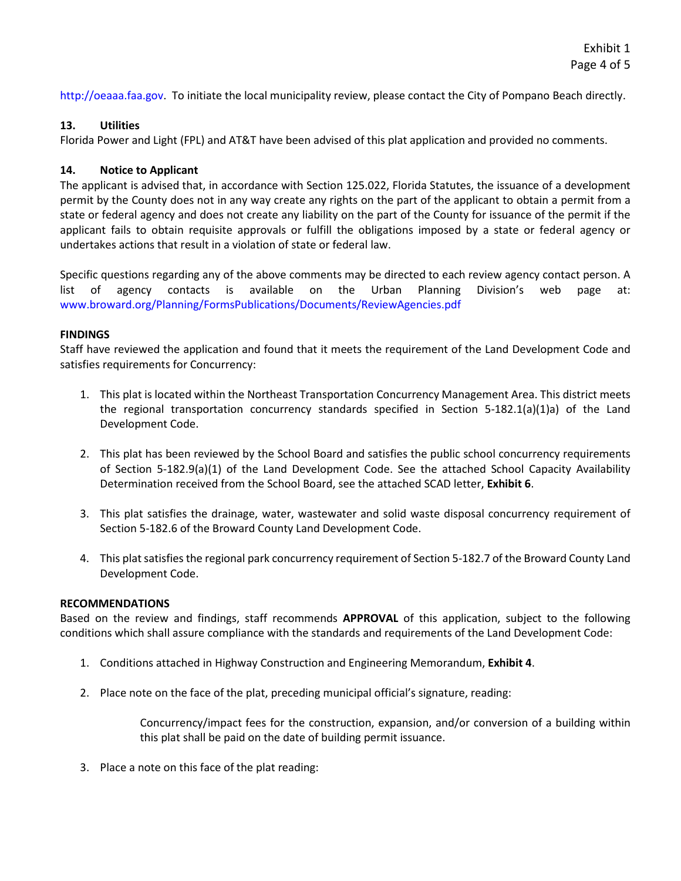[http://oeaaa.faa.gov.](http://oeaaa.faa.gov/) To initiate the local municipality review, please contact the City of Pompano Beach directly.

# **13. Utilities**

Florida Power and Light (FPL) and AT&T have been advised of this plat application and provided no comments.

# **14. Notice to Applicant**

The applicant is advised that, in accordance with Section 125.022, Florida Statutes, the issuance of a development permit by the County does not in any way create any rights on the part of the applicant to obtain a permit from a state or federal agency and does not create any liability on the part of the County for issuance of the permit if the applicant fails to obtain requisite approvals or fulfill the obligations imposed by a state or federal agency or undertakes actions that result in a violation of state or federal law.

Specific questions regarding any of the above comments may be directed to each review agency contact person. A list of agency contacts is available on the Urban Planning Division's web page at: <www.broward.org/Planning/FormsPublications/Documents/ReviewAgencies.pdf>

### **FINDINGS**

Staff have reviewed the application and found that it meets the requirement of the Land Development Code and satisfies requirements for Concurrency:

- 1. This plat is located within the Northeast Transportation Concurrency Management Area. This district meets the regional transportation concurrency standards specified in Section 5-182.1(a)(1)a) of the Land Development Code.
- 2. This plat has been reviewed by the School Board and satisfies the public school concurrency requirements of Section 5-182.9(a)(1) of the Land Development Code. See the attached School Capacity Availability Determination received from the School Board, see the attached SCAD letter, **Exhibit 6**.
- 3. This plat satisfies the drainage, water, wastewater and solid waste disposal concurrency requirement of Section 5-182.6 of the Broward County Land Development Code.
- 4. This plat satisfies the regional park concurrency requirement of Section 5-182.7 of the Broward County Land Development Code.

### **RECOMMENDATIONS**

Based on the review and findings, staff recommends **APPROVAL** of this application, subject to the following conditions which shall assure compliance with the standards and requirements of the Land Development Code:

- 1. Conditions attached in Highway Construction and Engineering Memorandum, **Exhibit 4**.
- 2. Place note on the face of the plat, preceding municipal official's signature, reading:

 Concurrency/impact fees for the construction, expansion, and/or conversion of a building within this plat shall be paid on the date of building permit issuance.

3. Place a note on this face of the plat reading: